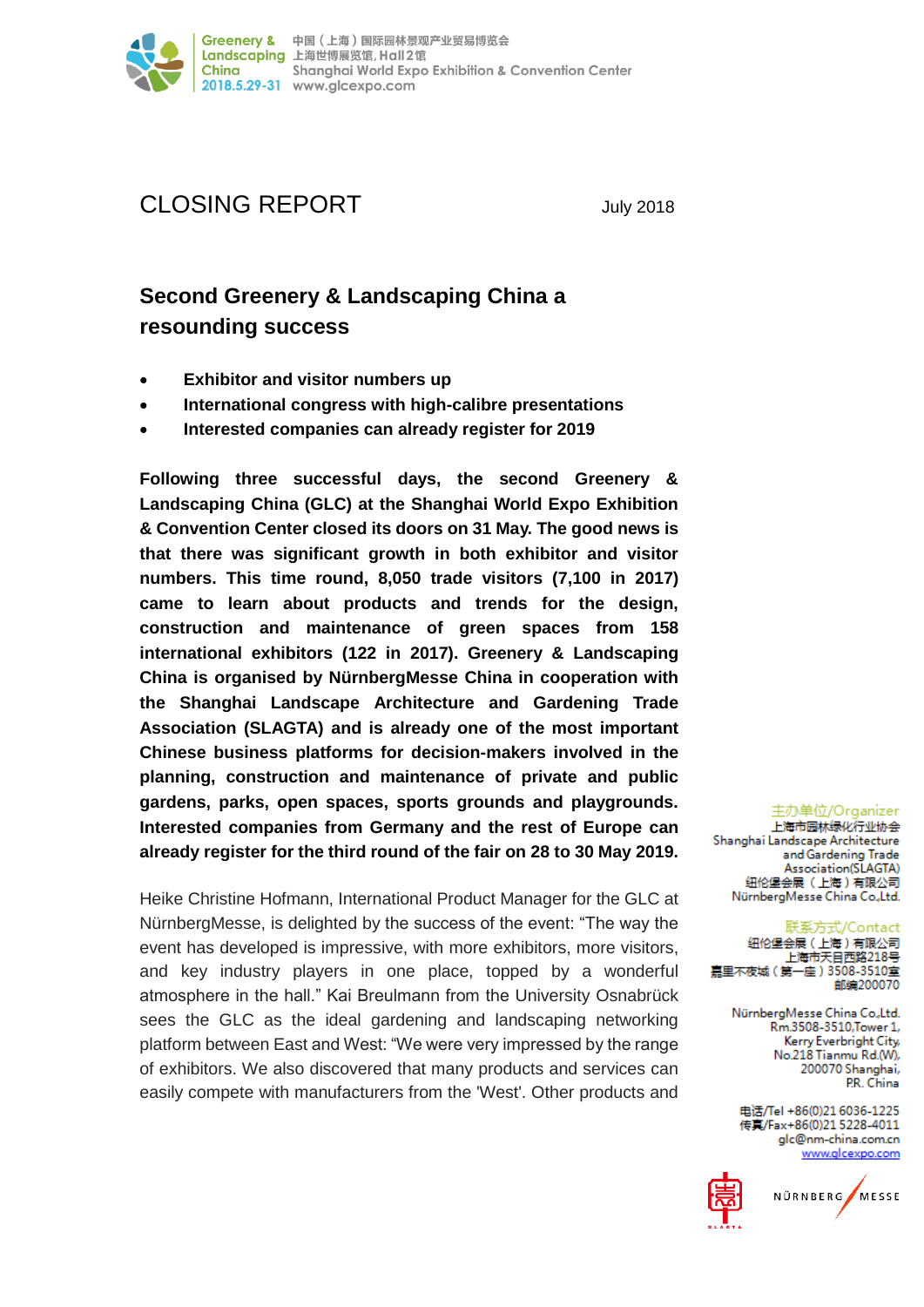

# CLOSING REPORT July 2018

# **Second Greenery & Landscaping China a resounding success**

- **Exhibitor and visitor numbers up**
- **International congress with high-calibre presentations**
- **Interested companies can already register for 2019**

**Following three successful days, the second Greenery & Landscaping China (GLC) at the Shanghai World Expo Exhibition & Convention Center closed its doors on 31 May. The good news is that there was significant growth in both exhibitor and visitor numbers. This time round, 8,050 trade visitors (7,100 in 2017) came to learn about products and trends for the design, construction and maintenance of green spaces from 158 international exhibitors (122 in 2017). Greenery & Landscaping China is organised by NürnbergMesse China in cooperation with the Shanghai Landscape Architecture and Gardening Trade Association (SLAGTA) and is already one of the most important Chinese business platforms for decision-makers involved in the planning, construction and maintenance of private and public gardens, parks, open spaces, sports grounds and playgrounds. Interested companies from Germany and the rest of Europe can already register for the third round of the fair on 28 to 30 May 2019.**

Heike Christine Hofmann, International Product Manager for the GLC at NürnbergMesse, is delighted by the success of the event: "The way the event has developed is impressive, with more exhibitors, more visitors, and key industry players in one place, topped by a wonderful atmosphere in the hall." Kai Breulmann from the University Osnabrück sees the GLC as the ideal gardening and landscaping networking platform between East and West: "We were very impressed by the range of exhibitors. We also discovered that many products and services can easily compete with manufacturers from the 'West'. Other products and

主办单位/Organizer 上海市园林绿化行业协会 Shanghai Landscape Architecture and Gardening Trade

Association(SLAGTA) 纽伦堡会展 (上海)有限公司 NürnbergMesse China Co.,Ltd.

联系方式/Contact

纽伦堡会展 (上海) 有限公司 上海市天目西路218号 嘉里不夜城 (第一座) 3508-3510室 邮编200070

> NürnbergMesse China Co.,Ltd. Rm.3508-3510, Tower 1, Kerry Everbright City, No.218 Tianmu Rd.(W), 200070 Shanghai, P.R. China

电话/Tel +86(0)21 6036-1225 传真/Fax+86(0)21 5228-4011 glc@nm-china.com.cn www.glcexpo.com



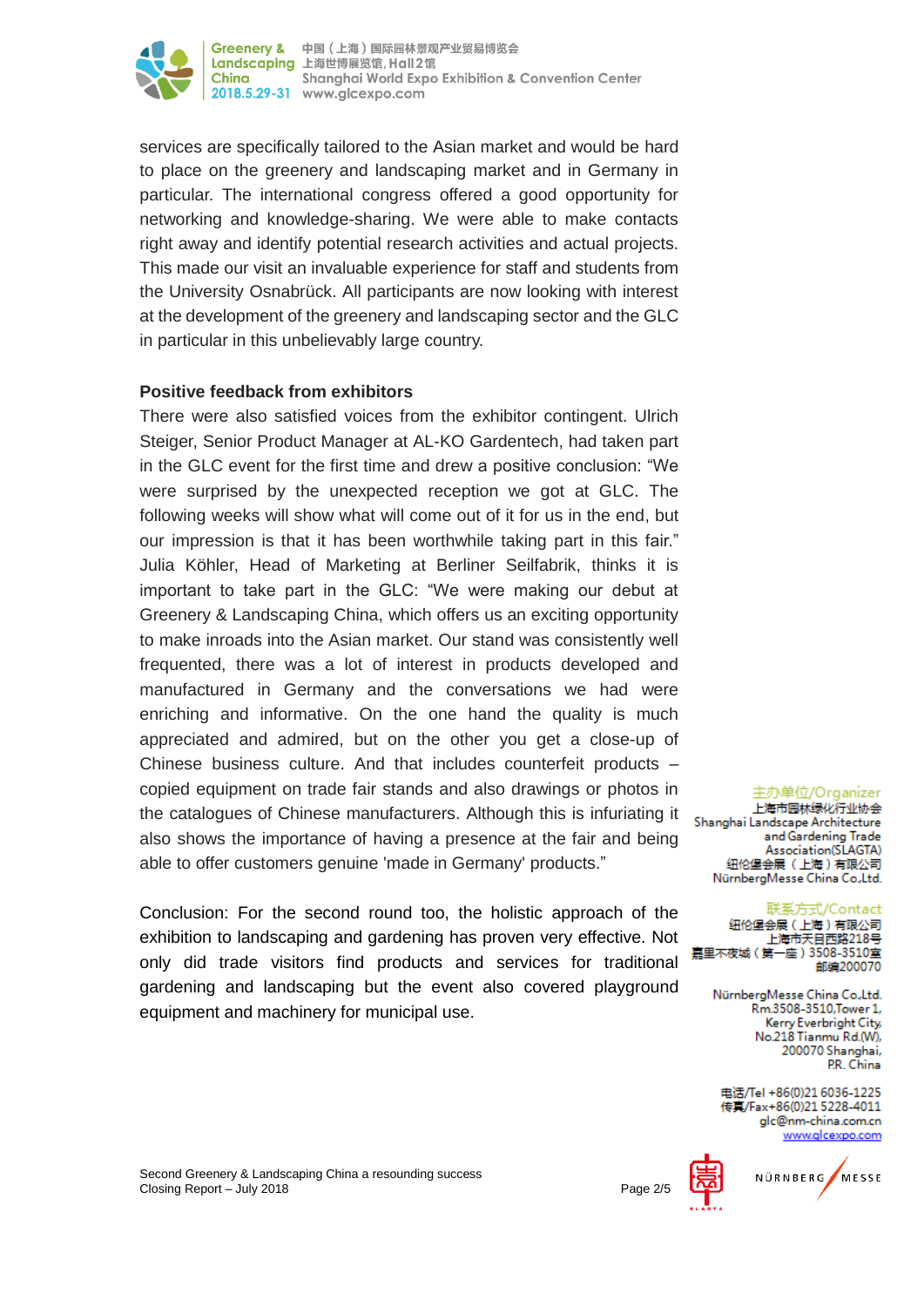

services are specifically tailored to the Asian market and would be hard to place on the greenery and landscaping market and in Germany in particular. The international congress offered a good opportunity for networking and knowledge-sharing. We were able to make contacts right away and identify potential research activities and actual projects. This made our visit an invaluable experience for staff and students from the University Osnabrück. All participants are now looking with interest at the development of the greenery and landscaping sector and the GLC in particular in this unbelievably large country.

# **Positive feedback from exhibitors**

There were also satisfied voices from the exhibitor contingent. Ulrich Steiger, Senior Product Manager at AL-KO Gardentech, had taken part in the GLC event for the first time and drew a positive conclusion: "We were surprised by the unexpected reception we got at GLC. The following weeks will show what will come out of it for us in the end, but our impression is that it has been worthwhile taking part in this fair." Julia Köhler, Head of Marketing at Berliner Seilfabrik, thinks it is important to take part in the GLC: "We were making our debut at Greenery & Landscaping China, which offers us an exciting opportunity to make inroads into the Asian market. Our stand was consistently well frequented, there was a lot of interest in products developed and manufactured in Germany and the conversations we had were enriching and informative. On the one hand the quality is much appreciated and admired, but on the other you get a close-up of Chinese business culture. And that includes counterfeit products – copied equipment on trade fair stands and also drawings or photos in the catalogues of Chinese manufacturers. Although this is infuriating it also shows the importance of having a presence at the fair and being able to offer customers genuine 'made in Germany' products."

Conclusion: For the second round too, the holistic approach of the exhibition to landscaping and gardening has proven very effective. Not only did trade visitors find products and services for traditional gardening and landscaping but the event also covered playground equipment and machinery for municipal use.

主办单位/Organizer 上海市园林绿化行业协会 Shanghai Landscape Architecture and Gardening Trade Association(SLAGTA) 纽伦堡会展 (上海)有限公司 NürnbergMesse China Co.,Ltd.

联系方式/Contact 纽伦堡会展 (上海)有限公司 上海市天目西路218号 嘉里不夜城(第一座)3508-3510室 邮编200070

> NürnbergMesse China Co.,Ltd. Rm.3508-3510, Tower 1, Kerry Everbright City, No.218 Tianmu Rd.(W), 200070 Shanghai, PR China

电话/Tel +86(0)21 6036-1225 传真/Fax+86(0)21 5228-4011 glc@nm-china.com.cn www.alcexpo.com

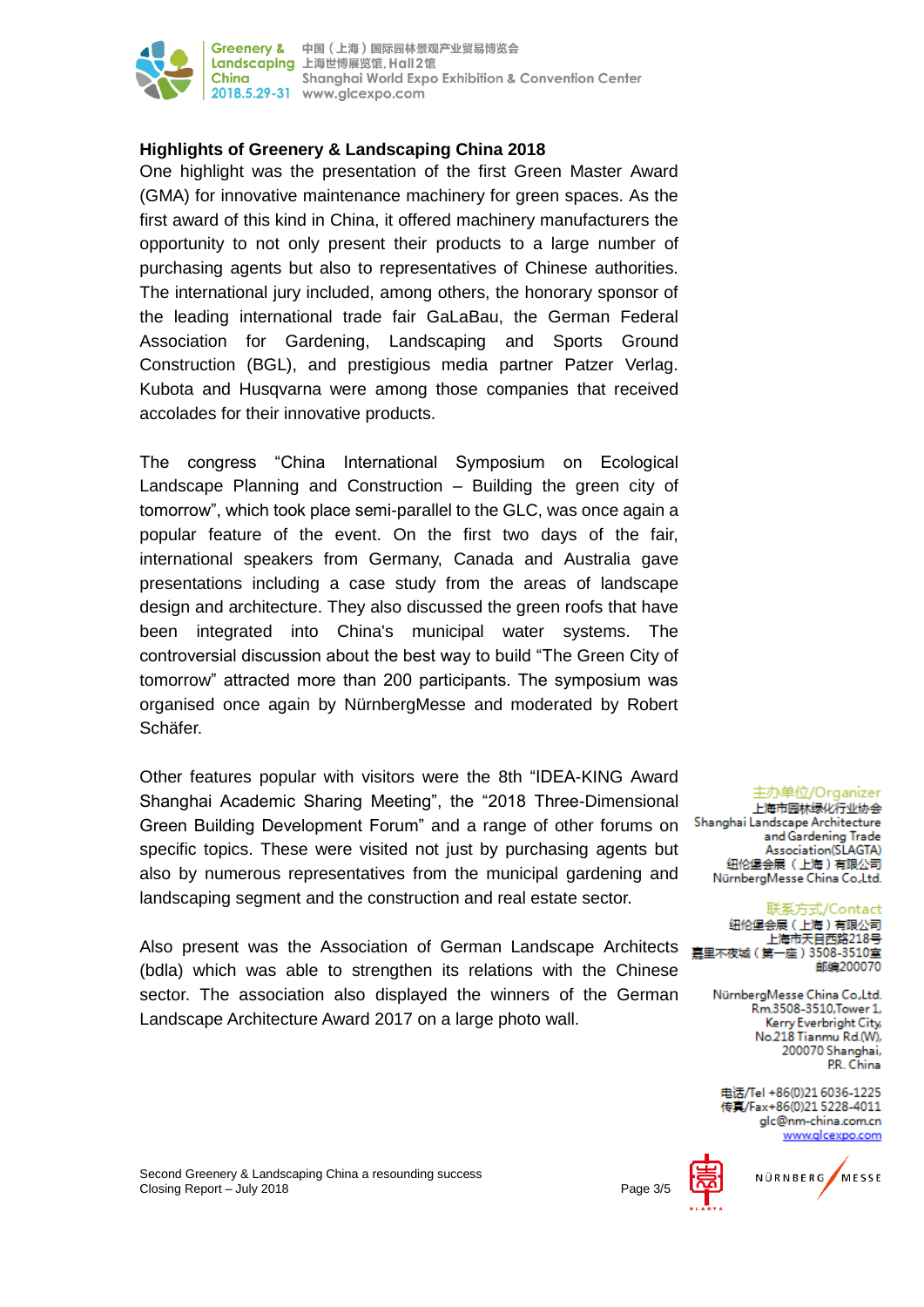

# **Highlights of Greenery & Landscaping China 2018**

One highlight was the presentation of the first Green Master Award (GMA) for innovative maintenance machinery for green spaces. As the first award of this kind in China, it offered machinery manufacturers the opportunity to not only present their products to a large number of purchasing agents but also to representatives of Chinese authorities. The international jury included, among others, the honorary sponsor of the leading international trade fair GaLaBau, the German Federal Association for Gardening, Landscaping and Sports Ground Construction (BGL), and prestigious media partner Patzer Verlag. Kubota and Husqvarna were among those companies that received accolades for their innovative products.

The congress "China International Symposium on Ecological Landscape Planning and Construction – Building the green city of tomorrow", which took place semi-parallel to the GLC, was once again a popular feature of the event. On the first two days of the fair, international speakers from Germany, Canada and Australia gave presentations including a case study from the areas of landscape design and architecture. They also discussed the green roofs that have been integrated into China's municipal water systems. The controversial discussion about the best way to build "The Green City of tomorrow" attracted more than 200 participants. The symposium was organised once again by NürnbergMesse and moderated by Robert Schäfer.

Other features popular with visitors were the 8th "IDEA-KING Award Shanghai Academic Sharing Meeting", the "2018 Three-Dimensional Green Building Development Forum" and a range of other forums on Shanghai Landscape Architecture specific topics. These were visited not just by purchasing agents but also by numerous representatives from the municipal gardening and landscaping segment and the construction and real estate sector.

Also present was the Association of German Landscape Architects (bdla) which was able to strengthen its relations with the Chinese sector. The association also displayed the winners of the German Landscape Architecture Award 2017 on a large photo wall.

主办单位/Organizer 上海市园林绿化行业协会 and Gardening Trade Association(SLAGTA) 纽伦堡会展 (上海)有限公司 NürnbergMesse China Co.,Ltd.

联系方式/Contact 纽伦堡会展 (上海)有限公司 上海市天目西路218号 嘉里不夜城 (第一座) 3508-3510室 邮编200070

> NürnbergMesse China Co.,Ltd. Rm.3508-3510, Tower 1, Kerry Everbright City, No.218 Tianmu Rd.(W), 200070 Shanghai, PR China

电话/Tel +86(0)21 6036-1225 传真/Fax+86(0)21 5228-4011 glc@nm-china.com.cn www.alcexpo.com

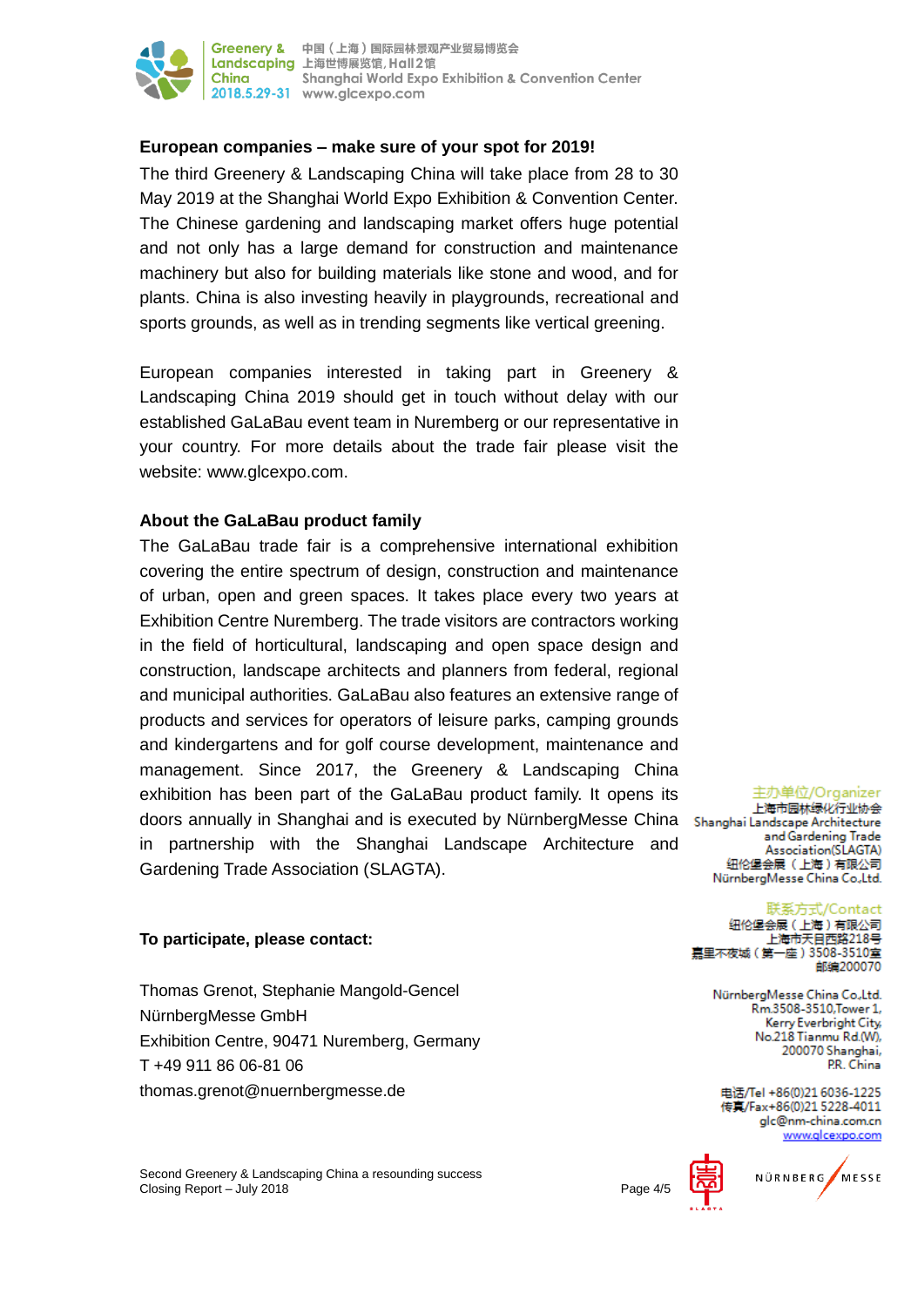

## **European companies – make sure of your spot for 2019!**

The third Greenery & Landscaping China will take place from 28 to 30 May 2019 at the Shanghai World Expo Exhibition & Convention Center. The Chinese gardening and landscaping market offers huge potential and not only has a large demand for construction and maintenance machinery but also for building materials like stone and wood, and for plants. China is also investing heavily in playgrounds, recreational and sports grounds, as well as in trending segments like vertical greening.

European companies interested in taking part in Greenery & Landscaping China 2019 should get in touch without delay with our established GaLaBau event team in Nuremberg or our representative in your country. For more details about the trade fair please visit the website: www.glcexpo.com.

## **About the GaLaBau product family**

The GaLaBau trade fair is a comprehensive international exhibition covering the entire spectrum of design, construction and maintenance of urban, open and green spaces. It takes place every two years at Exhibition Centre Nuremberg. The trade visitors are contractors working in the field of horticultural, landscaping and open space design and construction, landscape architects and planners from federal, regional and municipal authorities. GaLaBau also features an extensive range of products and services for operators of leisure parks, camping grounds and kindergartens and for golf course development, maintenance and management. Since 2017, the Greenery & Landscaping China exhibition has been part of the GaLaBau product family. It opens its doors annually in Shanghai and is executed by NürnbergMesse China Shanghai Landscape Architecture in partnership with the Shanghai Landscape Architecture and Gardening Trade Association (SLAGTA).

### **To participate, please contact:**

Thomas Grenot, Stephanie Mangold-Gencel NürnbergMesse GmbH Exhibition Centre, 90471 Nuremberg, Germany T +49 911 86 06-81 06 thomas.grenot@nuernbergmesse.de

Second Greenery & Landscaping China a resounding success Closing Report – July 2018

主办单位/Organizer

上海市园林绿化行业协会 and Gardening Trade Association(SLAGTA) 纽伦堡会展 (上海)有限公司 NürnbergMesse China Co.,Ltd.

#### 联系方式/Contact

纽伦堡会展 (上海)有限公司 上海市天目西路218号 嘉里不夜城(第一座)3508-3510室 邮编200070

> NürnbergMesse China Co.,Ltd. Rm.3508-3510, Tower 1, Kerry Everbright City, No.218 Tianmu Rd.(W), 200070 Shanghai, PR. China

电话/Tel +86(0)21 6036-1225 传真/Fax+86(0)21 5228-4011 glc@nm-china.com.cn www.alcexpo.com